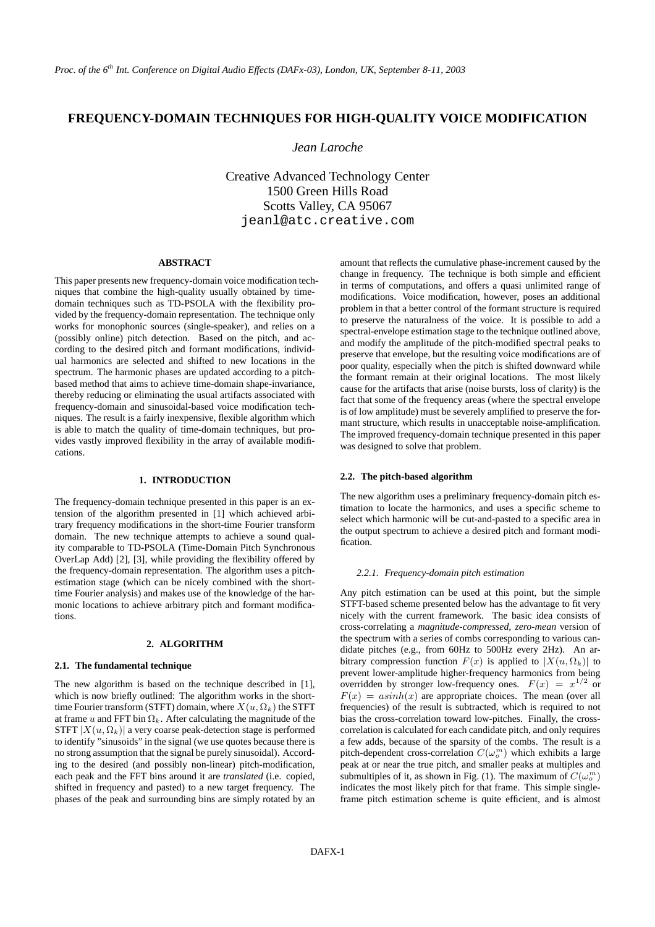# **FREQUENCY-DOMAIN TECHNIQUES FOR HIGH-QUALITY VOICE MODIFICATION**

# *Jean Laroche*

Creative Advanced Technology Center 1500 Green Hills Road Scotts Valley, CA 95067 jeanl@atc.creative.com

#### **ABSTRACT**

This paper presents new frequency-domain voice modification techniques that combine the high-quality usually obtained by timedomain techniques such as TD-PSOLA with the flexibility provided by the frequency-domain representation. The technique only works for monophonic sources (single-speaker), and relies on a (possibly online) pitch detection. Based on the pitch, and according to the desired pitch and formant modifications, individual harmonics are selected and shifted to new locations in the spectrum. The harmonic phases are updated according to a pitchbased method that aims to achieve time-domain shape-invariance, thereby reducing or eliminating the usual artifacts associated with frequency-domain and sinusoidal-based voice modification techniques. The result is a fairly inexpensive, flexible algorithm which is able to match the quality of time-domain techniques, but provides vastly improved flexibility in the array of available modifications.

### **1. INTRODUCTION**

The frequency-domain technique presented in this paper is an extension of the algorithm presented in [1] which achieved arbitrary frequency modifications in the short-time Fourier transform domain. The new technique attempts to achieve a sound quality comparable to TD-PSOLA (Time-Domain Pitch Synchronous OverLap Add) [2], [3], while providing the flexibility offered by the frequency-domain representation. The algorithm uses a pitchestimation stage (which can be nicely combined with the shorttime Fourier analysis) and makes use of the knowledge of the harmonic locations to achieve arbitrary pitch and formant modifications.

### **2. ALGORITHM**

#### **2.1. The fundamental technique**

The new algorithm is based on the technique described in [1], which is now briefly outlined: The algorithm works in the shorttime Fourier transform (STFT) domain, where  $X(u, \Omega_k)$  the STFT at frame u and FFT bin  $\Omega_k$ . After calculating the magnitude of the STFT  $|X(u, \Omega_k)|$  a very coarse peak-detection stage is performed to identify "sinusoids" in the signal (we use quotes because there is no strong assumption that the signal be purely sinusoidal). According to the desired (and possibly non-linear) pitch-modification, each peak and the FFT bins around it are *translated* (i.e. copied, shifted in frequency and pasted) to a new target frequency. The phases of the peak and surrounding bins are simply rotated by an

amount that reflects the cumulative phase-increment caused by the change in frequency. The technique is both simple and efficient in terms of computations, and offers a quasi unlimited range of modifications. Voice modification, however, poses an additional problem in that a better control of the formant structure is required to preserve the naturalness of the voice. It is possible to add a spectral-envelope estimation stage to the technique outlined above, and modify the amplitude of the pitch-modified spectral peaks to preserve that envelope, but the resulting voice modifications are of poor quality, especially when the pitch is shifted downward while the formant remain at their original locations. The most likely cause for the artifacts that arise (noise bursts, loss of clarity) is the fact that some of the frequency areas (where the spectral envelope is of low amplitude) must be severely amplified to preserve the formant structure, which results in unacceptable noise-amplification. The improved frequency-domain technique presented in this paper was designed to solve that problem.

### **2.2. The pitch-based algorithm**

The new algorithm uses a preliminary frequency-domain pitch estimation to locate the harmonics, and uses a specific scheme to select which harmonic will be cut-and-pasted to a specific area in the output spectrum to achieve a desired pitch and formant modification.

#### *2.2.1. Frequency-domain pitch estimation*

Any pitch estimation can be used at this point, but the simple STFT-based scheme presented below has the advantage to fit very nicely with the current framework. The basic idea consists of cross-correlating a *magnitude-compressed, zero-mean* version of the spectrum with a series of combs corresponding to various candidate pitches (e.g., from 60Hz to 500Hz every 2Hz). An arbitrary compression function  $F(x)$  is applied to  $|X(u, \Omega_k)|$  to prevent lower-amplitude higher-frequency harmonics from being overridden by stronger low-frequency ones.  $F(x) = x^{1/2}$  or  $F(x) = a\sinh(x)$  are appropriate choices. The mean (over all frequencies) of the result is subtracted, which is required to not bias the cross-correlation toward low-pitches. Finally, the crosscorrelation is calculated for each candidate pitch, and only requires a few adds, because of the sparsity of the combs. The result is a pitch-dependent cross-correlation  $C(\omega_o^m)$  which exhibits a large peak at or near the true pitch, and smaller peaks at multiples and submultiples of it, as shown in Fig. (1). The maximum of  $C(\omega_o^m)$ indicates the most likely pitch for that frame. This simple singleframe pitch estimation scheme is quite efficient, and is almost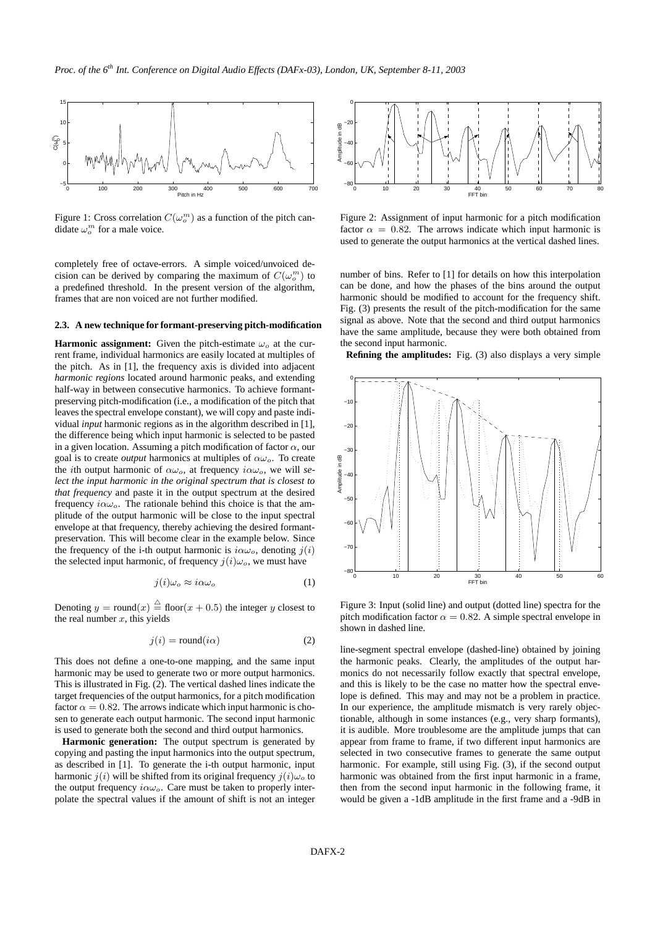

Figure 1: Cross correlation  $C(\omega_o^m)$  as a function of the pitch candidate  $\omega_o^m$  for a male voice.

completely free of octave-errors. A simple voiced/unvoiced decision can be derived by comparing the maximum of  $C(\omega_o^m)$  to a predefined threshold. In the present version of the algorithm, frames that are non voiced are not further modified.

#### **2.3. A new technique for formant-preserving pitch-modification**

**Harmonic assignment:** Given the pitch-estimate  $\omega_o$  at the current frame, individual harmonics are easily located at multiples of the pitch. As in [1], the frequency axis is divided into adjacent *harmonic regions* located around harmonic peaks, and extending half-way in between consecutive harmonics. To achieve formantpreserving pitch-modification (i.e., a modification of the pitch that leaves the spectral envelope constant), we will copy and paste individual *input* harmonic regions as in the algorithm described in [1], the difference being which input harmonic is selected to be pasted in a given location. Assuming a pitch modification of factor  $\alpha$ , our goal is to create *output* harmonics at multiples of  $\alpha\omega_o$ . To create the *i*th output harmonic of  $\alpha\omega_o$ , at frequency  $i\alpha\omega_o$ , we will *select the input harmonic in the original spectrum that is closest to that frequency* and paste it in the output spectrum at the desired frequency  $i\alpha\omega$ . The rationale behind this choice is that the amplitude of the output harmonic will be close to the input spectral envelope at that frequency, thereby achieving the desired formantpreservation. This will become clear in the example below. Since the frequency of the i-th output harmonic is  $i\alpha\omega_o$ , denoting  $j(i)$ the selected input harmonic, of frequency  $j(i)\omega_o$ , we must have

$$
j(i)\omega_o \approx i\alpha\omega_o \tag{1}
$$

Denoting  $y = \text{round}(x) \stackrel{\triangle}{=} \text{floor}(x + 0.5)$  the integer y closest to the real number  $x$ , this yields

$$
j(i) = \text{round}(i\alpha) \tag{2}
$$

This does not define a one-to-one mapping, and the same input harmonic may be used to generate two or more output harmonics. This is illustrated in Fig. (2). The vertical dashed lines indicate the target frequencies of the output harmonics, for a pitch modification factor  $\alpha = 0.82$ . The arrows indicate which input harmonic is chosen to generate each output harmonic. The second input harmonic is used to generate both the second and third output harmonics.

**Harmonic generation:** The output spectrum is generated by copying and pasting the input harmonics into the output spectrum, as described in [1]. To generate the i-th output harmonic, input harmonic  $j(i)$  will be shifted from its original frequency  $j(i)\omega_o$  to the output frequency  $i\alpha\omega_o$ . Care must be taken to properly interpolate the spectral values if the amount of shift is not an integer



Figure 2: Assignment of input harmonic for a pitch modification factor  $\alpha = 0.82$ . The arrows indicate which input harmonic is used to generate the output harmonics at the vertical dashed lines.

number of bins. Refer to [1] for details on how this interpolation can be done, and how the phases of the bins around the output harmonic should be modified to account for the frequency shift. Fig. (3) presents the result of the pitch-modification for the same signal as above. Note that the second and third output harmonics have the same amplitude, because they were both obtained from the second input harmonic.

**Refining the amplitudes:** Fig. (3) also displays a very simple



Figure 3: Input (solid line) and output (dotted line) spectra for the pitch modification factor  $\alpha = 0.82$ . A simple spectral envelope in shown in dashed line.

line-segment spectral envelope (dashed-line) obtained by joining the harmonic peaks. Clearly, the amplitudes of the output harmonics do not necessarily follow exactly that spectral envelope, and this is likely to be the case no matter how the spectral envelope is defined. This may and may not be a problem in practice. In our experience, the amplitude mismatch is very rarely objectionable, although in some instances (e.g., very sharp formants), it is audible. More troublesome are the amplitude jumps that can appear from frame to frame, if two different input harmonics are selected in two consecutive frames to generate the same output harmonic. For example, still using Fig. (3), if the second output harmonic was obtained from the first input harmonic in a frame, then from the second input harmonic in the following frame, it would be given a -1dB amplitude in the first frame and a -9dB in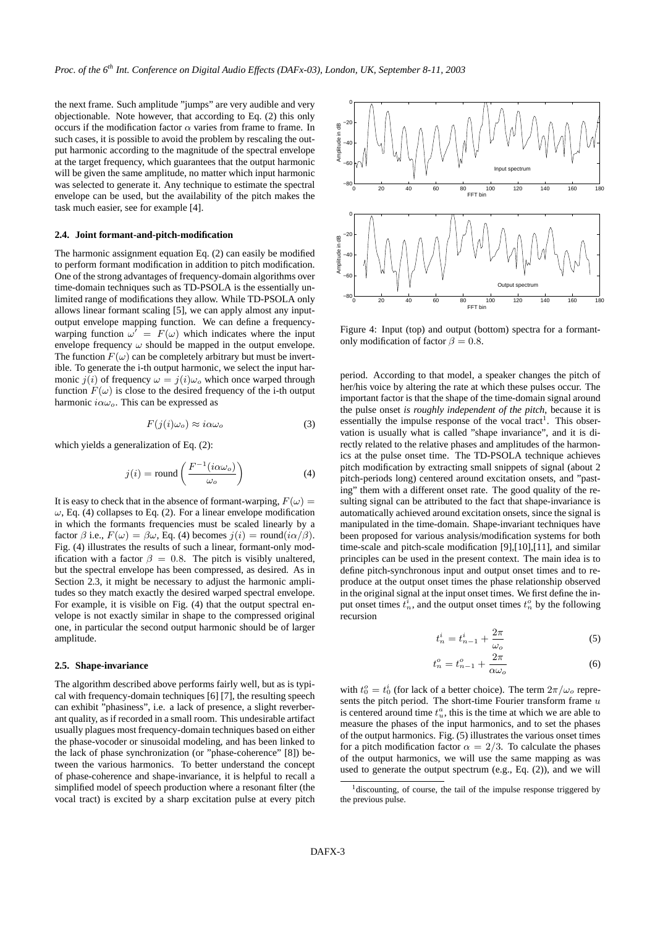the next frame. Such amplitude "jumps" are very audible and very objectionable. Note however, that according to Eq. (2) this only occurs if the modification factor  $\alpha$  varies from frame to frame. In such cases, it is possible to avoid the problem by rescaling the output harmonic according to the magnitude of the spectral envelope at the target frequency, which guarantees that the output harmonic will be given the same amplitude, no matter which input harmonic was selected to generate it. Any technique to estimate the spectral envelope can be used, but the availability of the pitch makes the task much easier, see for example [4].

### **2.4. Joint formant-and-pitch-modification**

The harmonic assignment equation Eq. (2) can easily be modified to perform formant modification in addition to pitch modification. One of the strong advantages of frequency-domain algorithms over time-domain techniques such as TD-PSOLA is the essentially unlimited range of modifications they allow. While TD-PSOLA only allows linear formant scaling [5], we can apply almost any inputoutput envelope mapping function. We can define a frequencywarping function  $\omega' = F(\omega)$  which indicates where the input envelope frequency  $\omega$  should be mapped in the output envelope. The function  $F(\omega)$  can be completely arbitrary but must be invertible. To generate the i-th output harmonic, we select the input harmonic  $j(i)$  of frequency  $\omega = j(i)\omega_o$  which once warped through function  $F(\omega)$  is close to the desired frequency of the i-th output harmonic  $i\alpha\omega_o$ . This can be expressed as

$$
F(j(i)\omega_o) \approx i\alpha\omega_o \tag{3}
$$

which vields a generalization of Eq. (2):

$$
j(i) = \text{round}\left(\frac{F^{-1}(i\alpha\omega_o)}{\omega_o}\right) \tag{4}
$$

It is easy to check that in the absence of formant-warping,  $F(\omega) =$  $\omega$ , Eq. (4) collapses to Eq. (2). For a linear envelope modification in which the formants frequencies must be scaled linearly by a factor  $\beta$  i.e.,  $F(\omega) = \beta \omega$ , Eq. (4) becomes  $j(i) = \text{round}(i\alpha/\beta)$ . Fig. (4) illustrates the results of such a linear, formant-only modification with a factor  $\beta = 0.8$ . The pitch is visibly unaltered, but the spectral envelope has been compressed, as desired. As in Section 2.3, it might be necessary to adjust the harmonic amplitudes so they match exactly the desired warped spectral envelope. For example, it is visible on Fig. (4) that the output spectral envelope is not exactly similar in shape to the compressed original one, in particular the second output harmonic should be of larger amplitude.

#### **2.5. Shape-invariance**

The algorithm described above performs fairly well, but as is typical with frequency-domain techniques [6] [7], the resulting speech can exhibit "phasiness", i.e. a lack of presence, a slight reverberant quality, as if recorded in a small room. This undesirable artifact usually plagues most frequency-domain techniques based on either the phase-vocoder or sinusoidal modeling, and has been linked to the lack of phase synchronization (or "phase-coherence" [8]) between the various harmonics. To better understand the concept of phase-coherence and shape-invariance, it is helpful to recall a simplified model of speech production where a resonant filter (the vocal tract) is excited by a sharp excitation pulse at every pitch



Figure 4: Input (top) and output (bottom) spectra for a formantonly modification of factor  $\beta = 0.8$ .

period. According to that model, a speaker changes the pitch of her/his voice by altering the rate at which these pulses occur. The important factor is that the shape of the time-domain signal around the pulse onset *is roughly independent of the pitch*, because it is essentially the impulse response of the vocal tract<sup>1</sup>. This observation is usually what is called "shape invariance", and it is directly related to the relative phases and amplitudes of the harmonics at the pulse onset time. The TD-PSOLA technique achieves pitch modification by extracting small snippets of signal (about 2 pitch-periods long) centered around excitation onsets, and "pasting" them with a different onset rate. The good quality of the resulting signal can be attributed to the fact that shape-invariance is automatically achieved around excitation onsets, since the signal is manipulated in the time-domain. Shape-invariant techniques have been proposed for various analysis/modification systems for both time-scale and pitch-scale modification [9],[10],[11], and similar principles can be used in the present context. The main idea is to define pitch-synchronous input and output onset times and to reproduce at the output onset times the phase relationship observed in the original signal at the input onset times. We first define the input onset times  $t_n^i$ , and the output onset times  $t_n^o$  by the following recursion

$$
t_n^i = t_{n-1}^i + \frac{2\pi}{\omega_o} \tag{5}
$$

$$
t_n^o = t_{n-1}^o + \frac{2\pi}{\alpha\omega_o} \tag{6}
$$

with  $t_0^o = t_0^i$  (for lack of a better choice). The term  $2\pi/\omega_o$  represents the pitch period. The short-time Fourier transform frame  $u$ is centered around time  $t<sub>u</sub><sup>a</sup>$ , this is the time at which we are able to measure the phases of the input harmonics, and to set the phases of the output harmonics. Fig. (5) illustrates the various onset times for a pitch modification factor  $\alpha = 2/3$ . To calculate the phases of the output harmonics, we will use the same mapping as was used to generate the output spectrum (e.g., Eq. (2)), and we will

 $1$  discounting, of course, the tail of the impulse response triggered by the previous pulse.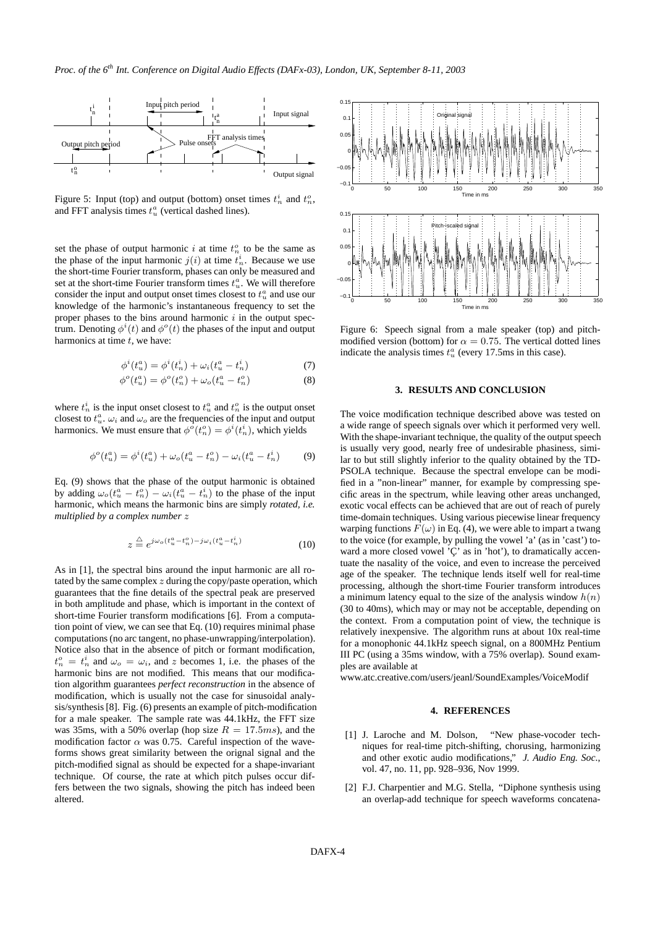

Figure 5: Input (top) and output (bottom) onset times  $t_n^i$  and  $t_n^o$ , and FFT analysis times  $t<sub>u</sub><sup>a</sup>$  (vertical dashed lines).

set the phase of output harmonic i at time  $t_n^o$  to be the same as the phase of the input harmonic  $j(i)$  at time  $t_n^i$ . Because we use the short-time Fourier transform, phases can only be measured and set at the short-time Fourier transform times  $t_u^a$ . We will therefore consider the input and output onset times closest to  $t<sub>u</sub><sup>a</sup>$  and use our knowledge of the harmonic's instantaneous frequency to set the proper phases to the bins around harmonic  $i$  in the output spectrum. Denoting  $\phi^i(t)$  and  $\phi^o(t)$  the phases of the input and output harmonics at time  $t$ , we have:

$$
\phi^{i}(t_{u}^{a}) = \phi^{i}(t_{n}^{i}) + \omega_{i}(t_{u}^{a} - t_{n}^{i})
$$
\n(7)

$$
\phi^{o}(t_{u}^{a}) = \phi^{o}(t_{n}^{o}) + \omega_{o}(t_{u}^{a} - t_{n}^{o})
$$
\n(8)

where  $t_n^i$  is the input onset closest to  $t_u^a$  and  $t_n^o$  is the output onset closest to  $t_u^a$ .  $\omega_i$  and  $\omega_o$  are the frequencies of the input and output harmonics. We must ensure that  $\phi^o(t_n^o) = \phi^i(t_n^i)$ , which yields

$$
\phi^{o}(t_{u}^{a}) = \phi^{i}(t_{u}^{a}) + \omega_{o}(t_{u}^{a} - t_{n}^{o}) - \omega_{i}(t_{u}^{a} - t_{n}^{i})
$$
(9)

Eq. (9) shows that the phase of the output harmonic is obtained by adding  $\omega_o(t_u^a - t_n^o) - \omega_i(t_u^a - t_n^i)$  to the phase of the input harmonic, which means the harmonic bins are simply *rotated, i.e. multiplied by a complex number* z

$$
z \stackrel{\triangle}{=} e^{j\omega_o(t_u^a - t_n^o) - j\omega_i(t_u^a - t_n^i)}
$$
\n<sup>(10)</sup>

As in [1], the spectral bins around the input harmonic are all rotated by the same complex  $z$  during the copy/paste operation, which guarantees that the fine details of the spectral peak are preserved in both amplitude and phase, which is important in the context of short-time Fourier transform modifications [6]. From a computation point of view, we can see that Eq. (10) requires minimal phase computations(no arc tangent, no phase-unwrapping/interpolation). Notice also that in the absence of pitch or formant modification,  $t_n^o = t_n^i$  and  $\omega_o = \omega_i$ , and z becomes 1, i.e. the phases of the harmonic bins are not modified. This means that our modification algorithm guarantees *perfect reconstruction* in the absence of modification, which is usually not the case for sinusoidal analysis/synthesis[8]. Fig. (6) presents an example of pitch-modification for a male speaker. The sample rate was 44.1kHz, the FFT size was 35ms, with a 50% overlap (hop size  $R = 17.5$ ms), and the modification factor  $\alpha$  was 0.75. Careful inspection of the waveforms shows great similarity between the orignal signal and the pitch-modified signal as should be expected for a shape-invariant technique. Of course, the rate at which pitch pulses occur differs between the two signals, showing the pitch has indeed been altered.



Figure 6: Speech signal from a male speaker (top) and pitchmodified version (bottom) for  $\alpha = 0.75$ . The vertical dotted lines indicate the analysis times  $t<sub>u</sub><sup>a</sup>$  (every 17.5ms in this case).

# **3. RESULTS AND CONCLUSION**

The voice modification technique described above was tested on a wide range of speech signals over which it performed very well. With the shape-invariant technique, the quality of the output speech is usually very good, nearly free of undesirable phasiness, similar to but still slightly inferior to the quality obtained by the TD-PSOLA technique. Because the spectral envelope can be modified in a "non-linear" manner, for example by compressing specific areas in the spectrum, while leaving other areas unchanged, exotic vocal effects can be achieved that are out of reach of purely time-domain techniques. Using various piecewise linear frequency warping functions  $F(\omega)$  in Eq. (4), we were able to impart a twang to the voice (for example, by pulling the vowel 'a' (as in 'cast') toward a more closed vowel ' $\zeta$ ' as in 'hot'), to dramatically accentuate the nasality of the voice, and even to increase the perceived age of the speaker. The technique lends itself well for real-time processing, although the short-time Fourier transform introduces a minimum latency equal to the size of the analysis window  $h(n)$ (30 to 40ms), which may or may not be acceptable, depending on the context. From a computation point of view, the technique is relatively inexpensive. The algorithm runs at about 10x real-time for a monophonic 44.1kHz speech signal, on a 800MHz Pentium III PC (using a 35ms window, with a 75% overlap). Sound examples are available at

www.atc.creative.com/users/jeanl/SoundExamples/VoiceModif

### **4. REFERENCES**

- [1] J. Laroche and M. Dolson, "New phase-vocoder techniques for real-time pitch-shifting, chorusing, harmonizing and other exotic audio modifications," *J. Audio Eng. Soc.*, vol. 47, no. 11, pp. 928–936, Nov 1999.
- [2] F.J. Charpentier and M.G. Stella, "Diphone synthesis using an overlap-add technique for speech waveforms concatena-